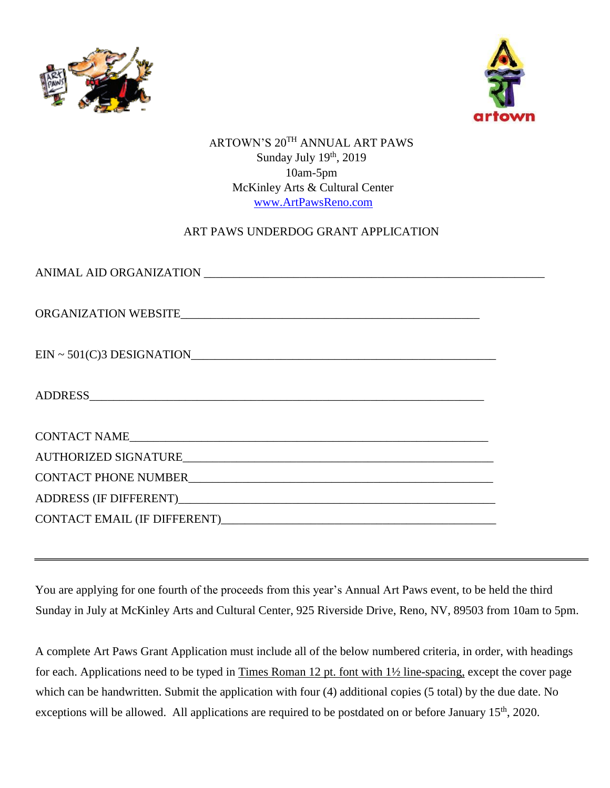



ARTOWN'S 20TH ANNUAL ART PAWS Sunday July 19<sup>th</sup>, 2019 10am-5pm McKinley Arts & Cultural Center www.ArtPawsReno.com

## ART PAWS UNDERDOG GRANT APPLICATION

| ORGANIZATION WEBSITE |  |
|----------------------|--|
|                      |  |
|                      |  |
|                      |  |
|                      |  |
|                      |  |
|                      |  |

You are applying for one fourth of the proceeds from this year's Annual Art Paws event, to be held the third Sunday in July at McKinley Arts and Cultural Center, 925 Riverside Drive, Reno, NV, 89503 from 10am to 5pm.

A complete Art Paws Grant Application must include all of the below numbered criteria, in order, with headings for each. Applications need to be typed in Times Roman 12 pt. font with 1½ line-spacing, except the cover page which can be handwritten. Submit the application with four (4) additional copies (5 total) by the due date. No exceptions will be allowed. All applications are required to be postdated on or before January 15<sup>th</sup>, 2020.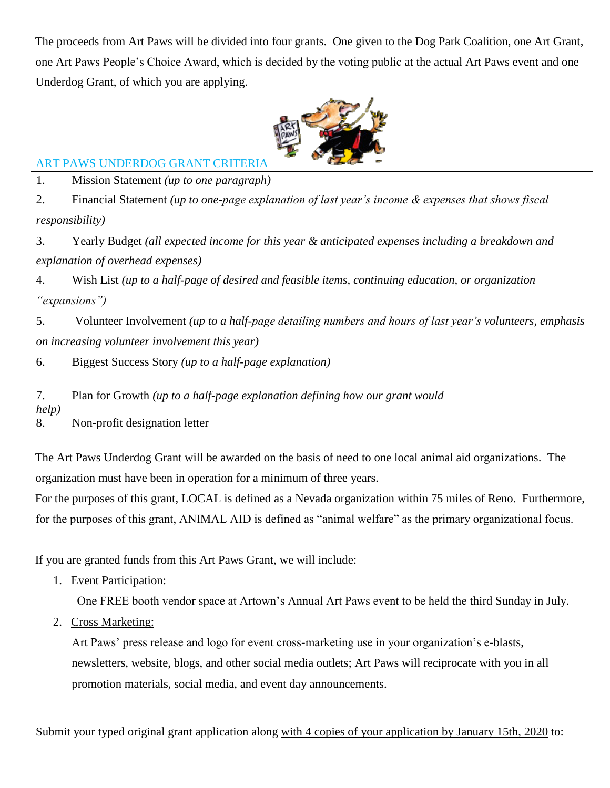The proceeds from Art Paws will be divided into four grants. One given to the Dog Park Coalition, one Art Grant, one Art Paws People's Choice Award, which is decided by the voting public at the actual Art Paws event and one Underdog Grant, of which you are applying.



## ART PAWS UNDERDOG GRANT CRITERIA

1. Mission Statement *(up to one paragraph)*

2. Financial Statement *(up to one-page explanation of last year's income & expenses that shows fiscal responsibility)*

3. Yearly Budget *(all expected income for this year & anticipated expenses including a breakdown and explanation of overhead expenses)*

4. Wish List *(up to a half-page of desired and feasible items, continuing education, or organization "expansions")*

5. Volunteer Involvement *(up to a half-page detailing numbers and hours of last year's volunteers, emphasis on increasing volunteer involvement this year)* 

6. Biggest Success Story *(up to a half-page explanation)*

7. Plan for Growth *(up to a half-page explanation defining how our grant would help)*

8. Non-profit designation letter

The Art Paws Underdog Grant will be awarded on the basis of need to one local animal aid organizations. The organization must have been in operation for a minimum of three years.

For the purposes of this grant, LOCAL is defined as a Nevada organization within 75 miles of Reno. Furthermore, for the purposes of this grant, ANIMAL AID is defined as "animal welfare" as the primary organizational focus.

If you are granted funds from this Art Paws Grant, we will include:

1. Event Participation:

One FREE booth vendor space at Artown's Annual Art Paws event to be held the third Sunday in July.

2. Cross Marketing:

Art Paws' press release and logo for event cross-marketing use in your organization's e-blasts, newsletters, website, blogs, and other social media outlets; Art Paws will reciprocate with you in all promotion materials, social media, and event day announcements.

Submit your typed original grant application along with 4 copies of your application by January 15th, 2020 to: